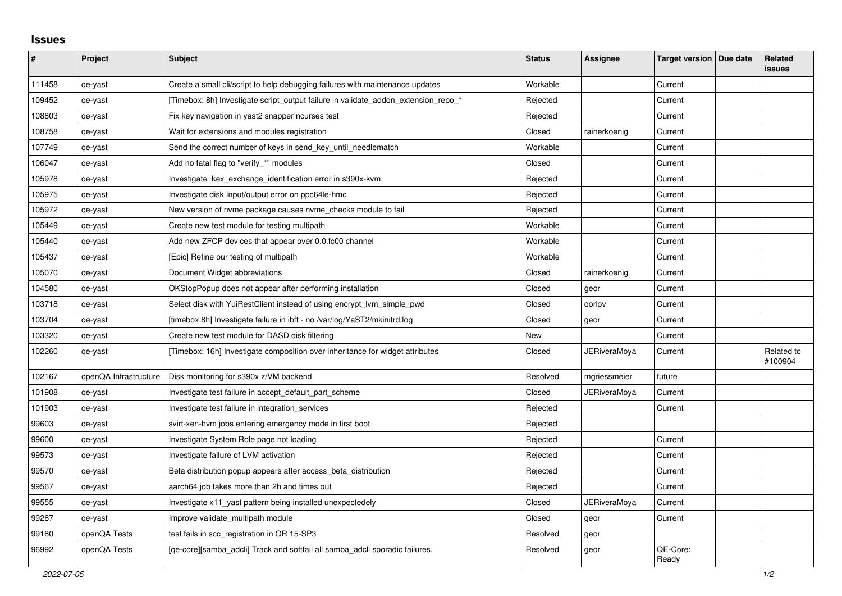## **Issues**

| ∦      | Project               | <b>Subject</b>                                                                     | <b>Status</b> | <b>Assignee</b> | Target version   Due date | Related<br>issues     |
|--------|-----------------------|------------------------------------------------------------------------------------|---------------|-----------------|---------------------------|-----------------------|
| 111458 | qe-yast               | Create a small cli/script to help debugging failures with maintenance updates      | Workable      |                 | Current                   |                       |
| 109452 | qe-yast               | [Timebox: 8h] Investigate script_output failure in validate_addon_extension_repo_* | Rejected      |                 | Current                   |                       |
| 108803 | qe-yast               | Fix key navigation in yast2 snapper ncurses test                                   | Rejected      |                 | Current                   |                       |
| 108758 | qe-yast               | Wait for extensions and modules registration                                       | Closed        | rainerkoenig    | Current                   |                       |
| 107749 | qe-yast               | Send the correct number of keys in send key until needlematch                      | Workable      |                 | Current                   |                       |
| 106047 | qe-yast               | Add no fatal flag to "verify_*" modules                                            | Closed        |                 | Current                   |                       |
| 105978 | qe-yast               | Investigate kex exchange identification error in s390x-kvm                         | Rejected      |                 | Current                   |                       |
| 105975 | qe-yast               | Investigate disk Input/output error on ppc64le-hmc                                 | Rejected      |                 | Current                   |                       |
| 105972 | qe-yast               | New version of nvme package causes nvme_checks module to fail                      | Rejected      |                 | Current                   |                       |
| 105449 | qe-yast               | Create new test module for testing multipath                                       | Workable      |                 | Current                   |                       |
| 105440 | qe-yast               | Add new ZFCP devices that appear over 0.0.fc00 channel                             | Workable      |                 | Current                   |                       |
| 105437 | qe-yast               | [Epic] Refine our testing of multipath                                             | Workable      |                 | Current                   |                       |
| 105070 | qe-yast               | Document Widget abbreviations                                                      | Closed        | rainerkoenig    | Current                   |                       |
| 104580 | qe-yast               | OKStopPopup does not appear after performing installation                          | Closed        | geor            | Current                   |                       |
| 103718 | qe-yast               | Select disk with YuiRestClient instead of using encrypt_lvm_simple_pwd             | Closed        | oorlov          | Current                   |                       |
| 103704 | qe-yast               | [timebox:8h] Investigate failure in ibft - no /var/log/YaST2/mkinitrd.log          | Closed        | geor            | Current                   |                       |
| 103320 | qe-yast               | Create new test module for DASD disk filtering                                     | New           |                 | Current                   |                       |
| 102260 | qe-yast               | [Timebox: 16h] Investigate composition over inheritance for widget attributes      | Closed        | JERiveraMoya    | Current                   | Related to<br>#100904 |
| 102167 | openQA Infrastructure | Disk monitoring for s390x z/VM backend                                             | Resolved      | mgriessmeier    | future                    |                       |
| 101908 | qe-yast               | Investigate test failure in accept_default_part_scheme                             | Closed        | JERiveraMoya    | Current                   |                       |
| 101903 | qe-yast               | Investigate test failure in integration services                                   | Rejected      |                 | Current                   |                       |
| 99603  | qe-yast               | svirt-xen-hvm jobs entering emergency mode in first boot                           | Rejected      |                 |                           |                       |
| 99600  | qe-yast               | Investigate System Role page not loading                                           | Rejected      |                 | Current                   |                       |
| 99573  | qe-yast               | Investigate failure of LVM activation                                              | Rejected      |                 | Current                   |                       |
| 99570  | qe-yast               | Beta distribution popup appears after access_beta_distribution                     | Rejected      |                 | Current                   |                       |
| 99567  | qe-yast               | aarch64 job takes more than 2h and times out                                       | Rejected      |                 | Current                   |                       |
| 99555  | qe-yast               | Investigate x11 yast pattern being installed unexpectedely                         | Closed        | JERiveraMoya    | Current                   |                       |
| 99267  | qe-yast               | Improve validate multipath module                                                  | Closed        | geor            | Current                   |                       |
| 99180  | openQA Tests          | test fails in scc_registration in QR 15-SP3                                        | Resolved      | geor            |                           |                       |
| 96992  | openQA Tests          | [ge-core][samba adcli] Track and softfail all samba adcli sporadic failures.       | Resolved      | geor            | QE-Core:<br>Ready         |                       |